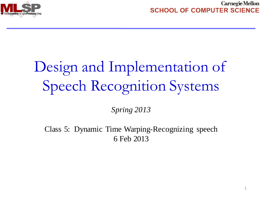

# Design and Implementation of Speech Recognition Systems

*Spring 2013*

Class 5: Dynamic Time Warping-Recognizing speech 6 Feb 2013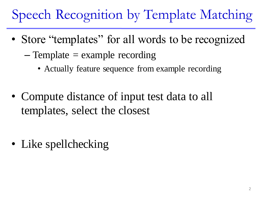# Speech Recognition by Template Matching

- Store "templates" for all words to be recognized
	- $-$  Template  $=$  example recording
		- Actually feature sequence from example recording
- Compute distance of input test data to all templates, select the closest

• Like spellchecking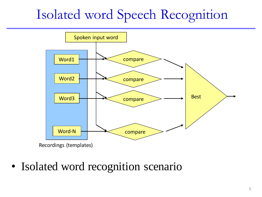### Isolated word Speech Recognition



• Isolated word recognition scenario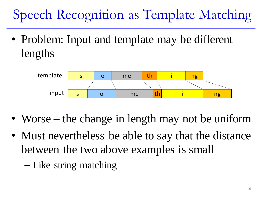# Speech Recognition as Template Matching

• Problem: Input and template may be different lengths



- Worse the change in length may not be uniform
- Must nevertheless be able to say that the distance between the two above examples is small
	- Like string matching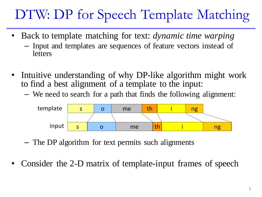# DTW: DP for Speech Template Matching

- Back to template matching for text: *dynamic time warping* – Input and templates are sequences of feature vectors instead of letters
- Intuitive understanding of why DP-like algorithm might work to find a best alignment of a template to the input:
	- We need to search for a path that finds the following alignment:



- The DP algorithm for text permits such alignments
- Consider the 2-D matrix of template-input frames of speech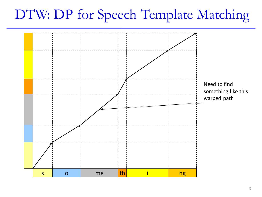#### DTW: DP for Speech Template Matching

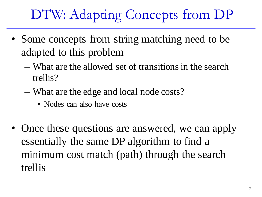# DTW: Adapting Concepts from DP

- Some concepts from string matching need to be adapted to this problem
	- What are the allowed set of transitions in the search trellis?
	- What are the edge and local node costs?
		- Nodes can also have costs
- Once these questions are answered, we can apply essentially the same DP algorithm to find a minimum cost match (path) through the search trellis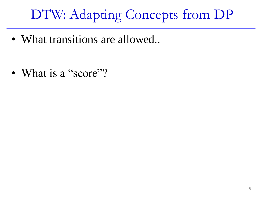# DTW: Adapting Concepts from DP

• What transitions are allowed..

• What is a "score"?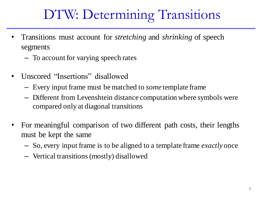# DTW: Determining Transitions

- Transitions must account for *stretching* and *shrinking* of speech segments
	- To account for varying speech rates
- Unscored "Insertions" disallowed
	- Every input frame must be matched to *some* template frame
	- Different from Levenshtein distance computation where symbols were compared only at diagonal transitions
- For meaningful comparison of two different path costs, their lengths must be kept the same
	- So, every input frame is to be aligned to a template frame *exactly* once
	- Vertical transitions (mostly) disallowed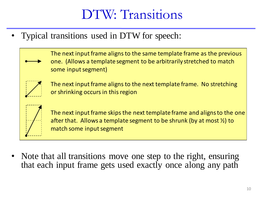### DTW: Transitions

• Typical transitions used in DTW for speech:

The next input frame aligns to the same template frame as the previous one. (Allows a template segment to be arbitrarily stretched to match some input segment)



The next input frame aligns to the next template frame. No stretching or shrinking occurs in this region



The next input frame skips the next template frame and aligns to the one after that. Allows a template segment to be shrunk (by at most  $\frac{1}{2}$ ) to match some input segment

Note that all transitions move one step to the right, ensuring that each input frame gets used exactly once along any path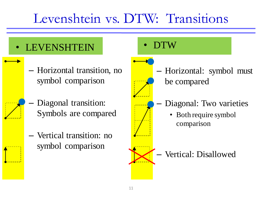#### Levenshtein vs. DTW: Transitions

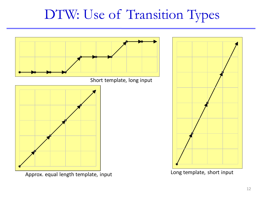#### DTW: Use of Transition Types



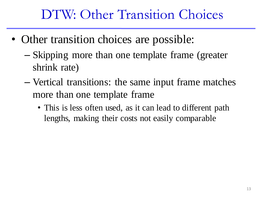### DTW: Other Transition Choices

- Other transition choices are possible:
	- Skipping more than one template frame (greater shrink rate)
	- Vertical transitions: the same input frame matches more than one template frame
		- This is less often used, as it can lead to different path lengths, making their costs not easily comparable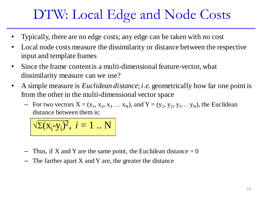# DTW: Local Edge and Node Costs

- Typically, there are no edge costs; any edge can be taken with no cost
- Local node costs measure the dissimilarity or distance between the respective input and template frames
- Since the frame content is a multi-dimensional feature-vector, what dissimilarity measure can we use?
- A simple measure is *Euclidean distance*; *i.e.* geometrically how far one point is from the other in the multi-dimensional vector space
	- For two vectors  $X = (x_1, x_2, x_3 ... x_N)$ , and  $Y = (y_1, y_2, y_3 ... y_N)$ , the Euclidean distance between them is:

$$
\sqrt{\Sigma(x_i-y_i)^2}, i=1..N
$$

- Thus, if X and Y are the same point, the Euclidean distance  $= 0$
- The farther apart  $X$  and  $Y$  are, the greater the distance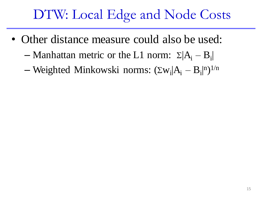# DTW: Local Edge and Node Costs

- Other distance measure could also be used:
	- Manhattan metric or the L1 norm:  $\Sigma |A_i B_i|$ |

— Weighted Minkowski norms:  $(\Sigma w_i | A_i - B_i |^n)^{1/n}$ |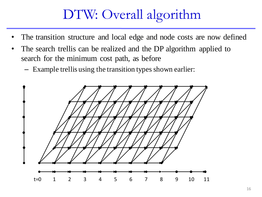### DTW: Overall algorithm

- The transition structure and local edge and node costs are now defined
- The search trellis can be realized and the DP algorithm applied to search for the minimum cost path, as before
	- Example trellis using the transition types shown earlier:

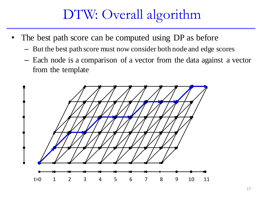### DTW: Overall algorithm

- The best path score can be computed using DP as before
	- But the best path score must now consider both node and edge scores
	- Each node is a comparison of a vector from the data against a vector from the template

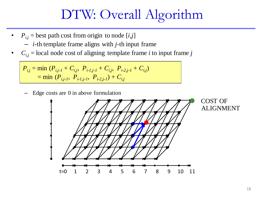#### DTW: Overall Algorithm

- $P_{i,j}$  = best path cost from origin to node [*i*,*j*] – *i*-th template frame aligns with *j*-th input frame
- $C_{i,j}$  = local node cost of aligning template frame *i* to input frame *j*

$$
P_{i,j} = \min (P_{i,j-1} + C_{i,j}, P_{i-1,j-1} + C_{i,j}, P_{i-2,j-1} + C_{i,j})
$$
  
=  $\min (P_{i,j-1}, P_{i-1,j-1}, P_{i-2,j-1}) + C_{i,j}$ 

– Edge costs are 0 in above formulation

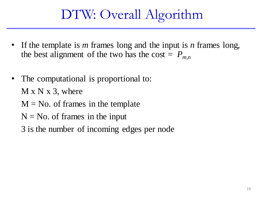### DTW: Overall Algorithm

- If the template is *m* frames long and the input is *n* frames long, the best alignment of the two has the cost =  $P_{m,n}$
- The computational is proportional to:  $M \times N \times 3$ , where  $M = No$ . of frames in the template  $N = No$ . of frames in the input 3 is the number of incoming edges per node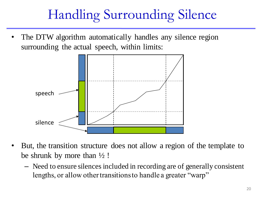# Handling Surrounding Silence

The DTW algorithm automatically handles any silence region surrounding the actual speech, within limits:



- But, the transition structure does not allow a region of the template to be shrunk by more than  $\frac{1}{2}$ !
	- Need to ensure silences included in recording are of generally consistent lengths, or allow other transitions to handle a greater "warp"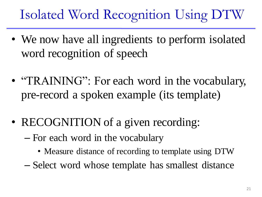# Isolated Word Recognition Using DTW

- We now have all ingredients to perform isolated word recognition of speech
- "TRAINING": For each word in the vocabulary, pre-record a spoken example (its template)
- RECOGNITION of a given recording:
	- For each word in the vocabulary
		- Measure distance of recording to template using DTW
	- Select word whose template has smallest distance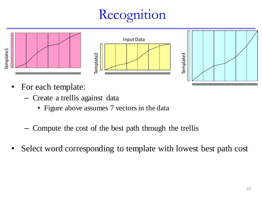# Recognition



- For each template:
	- Create a trellis against data
		- Figure above assumes 7 vectors in the data
	- Compute the cost of the best path through the trellis
- Select word corresponding to template with lowest best path cost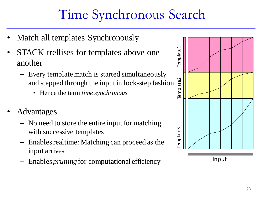# Time Synchronous Search

- Match all templates Synchronously
- STACK trellises for templates above one another
	- Every template match is started simultaneously and stepped through the input in lock-step fashion
		- Hence the term *time synchronous*
- Advantages
	- No need to store the entire input for matching with successive templates
	- Enables realtime: Matching can proceed as the input arrives
	- Enables *pruning* for computational efficiency

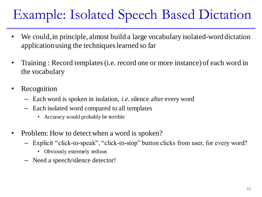# Example: Isolated Speech Based Dictation

- We could, in principle, almost build a large vocabulary isolated-word dictation application using the techniques learned so far
- Training : Record templates (i.e. record one or more instance) of each word in the vocabulary
- Recognition
	- Each word is spoken in isolation, *i.e.* silence after every word
	- Each isolated word compared to all templates
		- Accuracy would probably be terrible
- Problem: How to detect when a word is spoken?
	- Explicit "click-to-speak", "click-to-stop" button clicks from user, for every word?
		- Obviously extremely tedious
	- Need a speech/silence detector!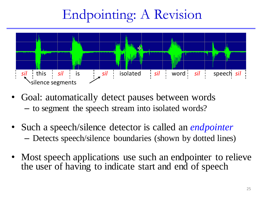# Endpointing: A Revision



- Goal: automatically detect pauses between words – to segment the speech stream into isolated words?
- Such a speech/silence detector is called an *endpointer* – Detects speech/silence boundaries (shown by dotted lines)
- Most speech applications use such an endpointer to relieve the user of having to indicate start and end of speech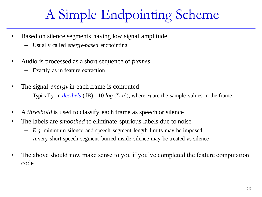# A Simple Endpointing Scheme

- Based on silence segments having low signal amplitude
	- Usually called *energy-based* endpointing
- Audio is processed as a short sequence of *frames*
	- Exactly as in feature extraction
- The signal *energy* in each frame is computed
	- Typically in *decibels* (dB): 10  $log$  ( $\Sigma$   $x_i^2$ ), where  $x_i$  are the sample values in the frame
- A *threshold* is used to classify each frame as speech or silence
- The labels are *smoothed* to eliminate spurious labels due to noise
	- *E.g.* minimum silence and speech segment length limits may be imposed
	- A very short speech segment buried inside silence may be treated as silence
- The above should now make sense to you if you've completed the feature computation code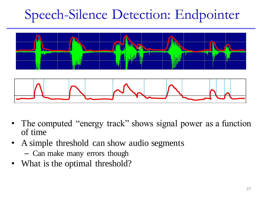# Speech-Silence Detection: Endpointer



- The computed "energy track" shows signal power as a function of time
- A simple threshold can show audio segments – Can make many errors though
- What is the optimal threshold?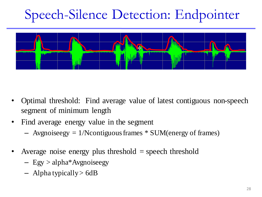# Speech-Silence Detection: Endpointer



- Optimal threshold: Find average value of latest contiguous non-speech segment of minimum length
- Find average energy value in the segment
	- $-$  Avgnoiseegy = 1/N contiguous frames  $*$  SUM (energy of frames)
- Average noise energy plus threshold = speech threshold
	- Egy > alpha\*Avgnoiseegy
	- $-$  Alpha typically  $>$  6dB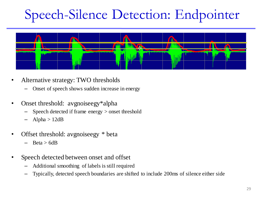# Speech-Silence Detection: Endpointer



- Alternative strategy: TWO thresholds
	- Onset of speech shows sudden increase in energy
- Onset threshold: avgnoiseegy\*alpha
	- Speech detected if frame energy > onset threshold
	- Alpha  $> 12dB$
- Offset threshold: avgnoiseegy \* beta
	- $Beta > 6dB$
- Speech detected between onset and offset
	- Additional smoothing of labels is still required
	- Typically, detected speech boundaries are shifted to include 200ms of silence either side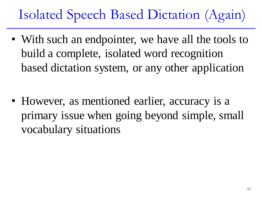# Isolated Speech Based Dictation (Again)

• With such an endpointer, we have all the tools to build a complete, isolated word recognition based dictation system, or any other application

• However, as mentioned earlier, accuracy is a primary issue when going beyond simple, small vocabulary situations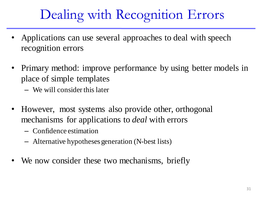# Dealing with Recognition Errors

- Applications can use several approaches to deal with speech recognition errors
- Primary method: improve performance by using better models in place of simple templates
	- We will consider this later
- However, most systems also provide other, orthogonal mechanisms for applications to *deal* with errors
	- Confidence estimation
	- Alternative hypotheses generation (N-best lists)
- We now consider these two mechanisms, briefly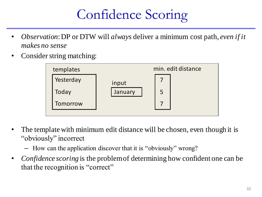# Confidence Scoring

- *Observation*: DP or DTW will *always* deliver a minimum cost path, *even if it makes no sense*
- Consider string matching:



- The template with minimum edit distance will be chosen, even though it is "obviously" incorrect
	- How can the application discover that it is "obviously" wrong?
- *Confidence scoring* is the problem of determining how confident one can be that the recognition is "correct"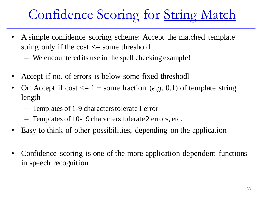### Confidence Scoring for String Match

- A simple confidence scoring scheme: Accept the matched template string only if the cost  $\leq$  some threshold
	- We encountered its use in the spell checking example!
- Accept if no. of errors is below some fixed threshodl
- Or: Accept if cost  $\leq 1 +$  some fraction (*e.g.* 0.1) of template string length
	- Templates of 1-9 characters tolerate 1 error
	- Templates of 10-19 characters tolerate 2 errors, etc.
- Easy to think of other possibilities, depending on the application
- Confidence scoring is one of the more application-dependent functions in speech recognition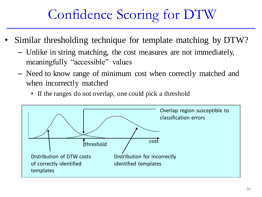# Confidence Scoring for DTW

- Similar thresholding technique for template matching by DTW?
	- Unlike in string matching, the cost measures are not immediately, meaningfully "accessible" values
	- Need to know range of minimum cost when correctly matched and when incorrectly matched
		- If the ranges do not overlap, one could pick a threshold

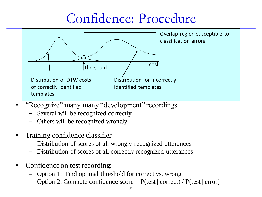#### Confidence: Procedure



- "Recognize" many many "development" recordings
	- Several will be recognized correctly
	- Others will be recognized wrongly
- Training confidence classifier
	- Distribution of scores of all wrongly recognized utterances
	- Distribution of scores of all correctly recognized utterances
- Confidence on test recording:
	- Option 1: Find optimal threshold for correct vs. wrong
	- Option 2: Compute confidence  $score = P(test | correct) / P(test | error)$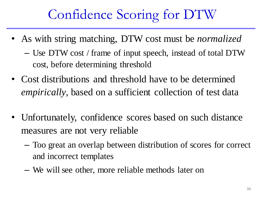# Confidence Scoring for DTW

- As with string matching, DTW cost must be *normalized*
	- Use DTW cost / frame of input speech, instead of total DTW cost, before determining threshold
- Cost distributions and threshold have to be determined *empirically*, based on a sufficient collection of test data
- Unfortunately, confidence scores based on such distance measures are not very reliable
	- Too great an overlap between distribution of scores for correct and incorrect templates
	- We will see other, more reliable methods later on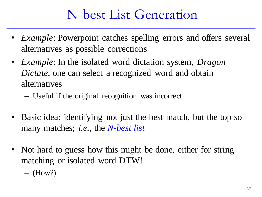#### N-best List Generation

- *Example*: Powerpoint catches spelling errors and offers several alternatives as possible corrections
- *Example*: In the isolated word dictation system, *Dragon Dictate*, one can select a recognized word and obtain alternatives
	- Useful if the original recognition was incorrect
- Basic idea: identifying not just the best match, but the top so many matches; *i.e.*, the *N-best list*
- Not hard to guess how this might be done, either for string matching or isolated word DTW!
	- $-$  (How?)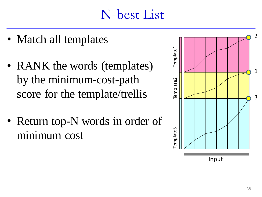#### N-best List

- Match all templates
- RANK the words (templates) by the minimum-cost-path score for the template/trellis
- Return top-N words in order of minimum cost

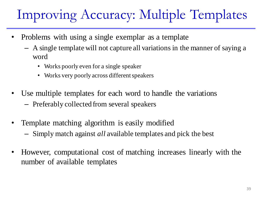# Improving Accuracy: Multiple Templates

- Problems with using a single exemplar as a template
	- A single template will not capture all variations in the manner of saying a word
		- Works poorly even for a single speaker
		- Works very poorly across different speakers
- Use multiple templates for each word to handle the variations – Preferably collected from several speakers
- Template matching algorithm is easily modified – Simply match against *all* available templates and pick the best
- However, computational cost of matching increases linearly with the number of available templates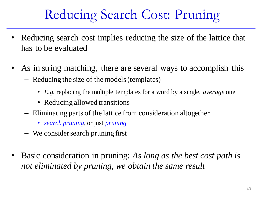# Reducing Search Cost: Pruning

- Reducing search cost implies reducing the size of the lattice that has to be evaluated
- As in string matching, there are several ways to accomplish this – Reducing the size of the models (templates)
	- *E.g.* replacing the multiple templates for a word by a single, *average* one
	- Reducing allowed transitions
	- Eliminating parts of the lattice from consideration altogether
		- *search pruning*, or just *pruning*
	- We consider search pruning first
- Basic consideration in pruning: *As long as the best cost path is not eliminated by pruning, we obtain the same result*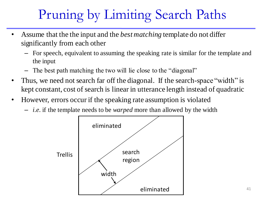# Pruning by Limiting Search Paths

- Assume that the the input and the *best matching* template do not differ significantly from each other
	- For speech, equivalent to assuming the speaking rate is similar for the template and the input
	- The best path matching the two will lie close to the "diagonal"
- Thus, we need not search far off the diagonal. If the search-space "width" is kept constant, cost of search is linear in utterance length instead of quadratic
- However, errors occur if the speaking rate assumption is violated
	- *i.e.* if the template needs to be *warped* more than allowed by the width

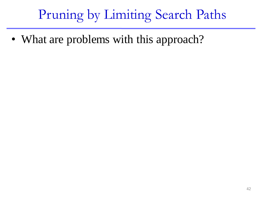### Pruning by Limiting Search Paths

• What are problems with this approach?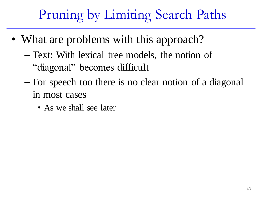# Pruning by Limiting Search Paths

- What are problems with this approach?
	- Text: With lexical tree models, the notion of "diagonal" becomes difficult
	- For speech too there is no clear notion of a diagonal in most cases
		- As we shall see later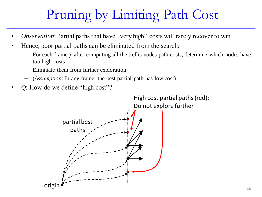# Pruning by Limiting Path Cost

- *Observation*: Partial paths that have "very high" costs will rarely recover to win
- Hence, poor partial paths can be eliminated from the search:
	- For each frame *j*, after computing all the trellis nodes path costs, determine which nodes have too high costs
	- Eliminate them from further exploration
	- (*Assumption*: In any frame, the best partial path has low cost)
- *Q*: How do we define "high cost"?

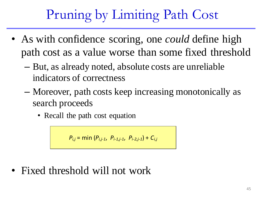# Pruning by Limiting Path Cost

- As with confidence scoring, one *could* define high path cost as a value worse than some fixed threshold
	- But, as already noted, absolute costs are unreliable indicators of correctness
	- Moreover, path costs keep increasing monotonically as search proceeds
		- Recall the path cost equation

 $P_{i,j}$  = min ( $P_{i,j-1}$ ,  $P_{i-1,j-1}$ ,  $P_{i-2,j-1}$ ) +  $C_{i,j}$ 

• Fixed threshold will not work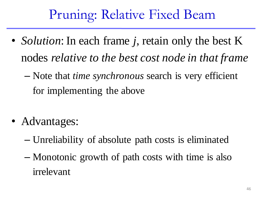### Pruning: Relative Fixed Beam

- *Solution*: In each frame *j*, retain only the best K nodes *relative to the best cost node in that frame*
	- Note that *time synchronous* search is very efficient for implementing the above
- Advantages:
	- Unreliability of absolute path costs is eliminated
	- Monotonic growth of path costs with time is also irrelevant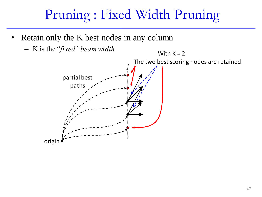### Pruning : Fixed Width Pruning

- Retain only the K best nodes in any column
	- K is the "*fixed" beam width*

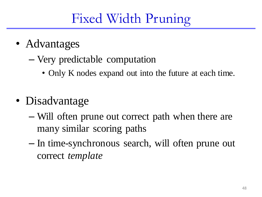# Fixed Width Pruning

- Advantages
	- Very predictable computation
		- Only K nodes expand out into the future at each time.
- Disadvantage
	- Will often prune out correct path when there are many similar scoring paths
	- In time-synchronous search, will often prune out correct *template*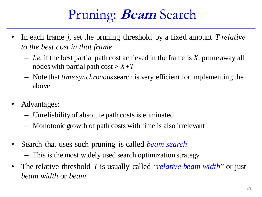# Pruning: **Beam** Search

- In each frame *j*, set the pruning threshold by a fixed amount *T relative to the best cost in that frame*
	- *I.e.* if the best partial path cost achieved in the frame is *X*, prune away all nodes with partial path  $cost > X + T$
	- Note that *time synchronous* search is very efficient for implementing the above
- Advantages:
	- Unreliability of absolute path costs is eliminated
	- Monotonic growth of path costs with time is also irrelevant
- Search that uses such pruning is called *beam search*
	- This is the most widely used search optimization strategy
- The relative threshold *T* is usually called "*relative beam width*" or just *beam width* or *beam*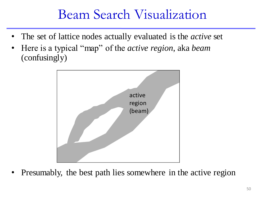#### Beam Search Visualization

- The set of lattice nodes actually evaluated is the *active* set
- Here is a typical "map" of the *active region*, aka *beam*  (confusingly)



• Presumably, the best path lies somewhere in the active region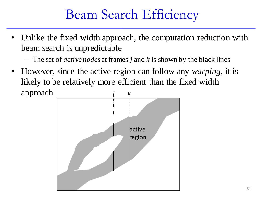#### Beam Search Efficiency

- Unlike the fixed width approach, the computation reduction with beam search is unpredictable
	- The set of *active nodes* at frames *j* and *k* is shown by the black lines
- However, since the active region can follow any *warping*, it is likely to be relatively more efficient than the fixed width approach *j k*

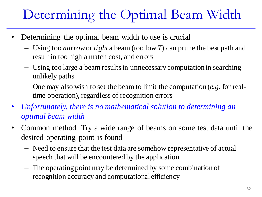# Determining the Optimal Beam Width

- Determining the optimal beam width to use is crucial
	- Using too *narrow*or *tight* a beam (too low *T*) can prune the best path and result in too high a match cost, and errors
	- Using too large a beam results in unnecessary computation in searching unlikely paths
	- One may also wish to set the beam to limit the computation (*e.g.* for realtime operation), regardless of recognition errors
- *Unfortunately, there is no mathematical solution to determining an optimal beam width*
- Common method: Try a wide range of beams on some test data until the desired operating point is found
	- Need to ensure that the test data are somehow representative of actual speech that will be encountered by the application
	- The operating point may be determined by some combination of recognition accuracy and computational efficiency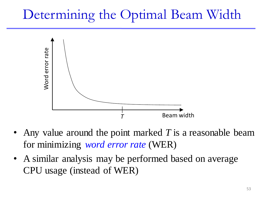### Determining the Optimal Beam Width



- Any value around the point marked *T* is a reasonable beam for minimizing *word error rate* (WER)
- A similar analysis may be performed based on average CPU usage (instead of WER)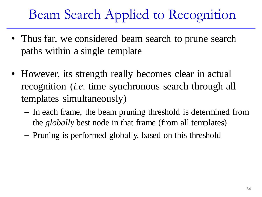### Beam Search Applied to Recognition

- Thus far, we considered beam search to prune search paths within a single template
- However, its strength really becomes clear in actual recognition (*i.e.* time synchronous search through all templates simultaneously)
	- In each frame, the beam pruning threshold is determined from the *globally* best node in that frame (from all templates)
	- Pruning is performed globally, based on this threshold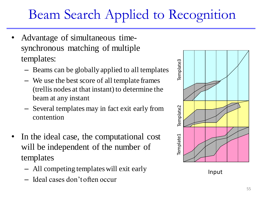# Beam Search Applied to Recognition

- Advantage of simultaneous timesynchronous matching of multiple templates:
	- Beams can be globally applied to all templates
	- We use the best score of all template frames (trellis nodes at that instant) to determine the beam at any instant
	- Several templates may in fact exit early from contention
- In the ideal case, the computational cost will be independent of the number of templates
	- All competing templates will exit early
	- Ideal cases don't often occur



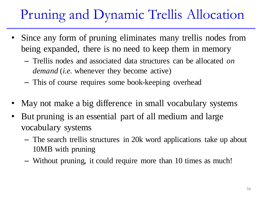# Pruning and Dynamic Trellis Allocation

- Since any form of pruning eliminates many trellis nodes from being expanded, there is no need to keep them in memory
	- Trellis nodes and associated data structures can be allocated *on demand* (*i.e.* whenever they become active)
	- This of course requires some book-keeping overhead
- May not make a big difference in small vocabulary systems
- But pruning is an essential part of all medium and large vocabulary systems
	- The search trellis structures in 20k word applications take up about 10MB with pruning
	- Without pruning, it could require more than 10 times as much!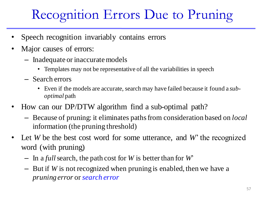# Recognition Errors Due to Pruning

- Speech recognition invariably contains errors
- Major causes of errors:
	- Inadequate or inaccurate models
		- Templates may not be representative of all the variabilities in speech
	- Search errors
		- Even if the models are accurate, search may have failed because it found a *suboptimal* path
- How can our DP/DTW algorithm find a sub-optimal path?
	- Because of pruning: it eliminates paths from consideration based on *local*  information (the pruning threshold)
- Let *W* be the best cost word for some utterance, and *W*' the recognized word (with pruning)
	- In a *full*search, the path cost for *W* is better than for *W*'
	- But if *W* is not recognized when pruning is enabled, then we have a *pruning error* or *search error*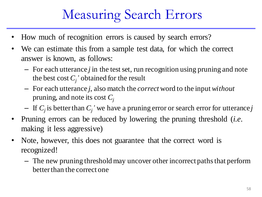### Measuring Search Errors

- How much of recognition errors is caused by search errors?
- We can estimate this from a sample test data, for which the correct answer is known, as follows:
	- For each utterance *j* in the test set, run recognition using pruning and note the best cost  $C_j$ ' obtained for the result
	- For each utterance *j*, also match the *correct* word to the input *without* pruning, and note its cost *C<sup>j</sup>*
	- $-$  If  $C_j$  is better than  $C_j$ ' we have a pruning error or search error for utterance *j*
- Pruning errors can be reduced by lowering the pruning threshold (*i.e.*  making it less aggressive)
- Note, however, this does not guarantee that the correct word is recognized!
	- The new pruning threshold may uncover other incorrect paths that perform better than the correct one